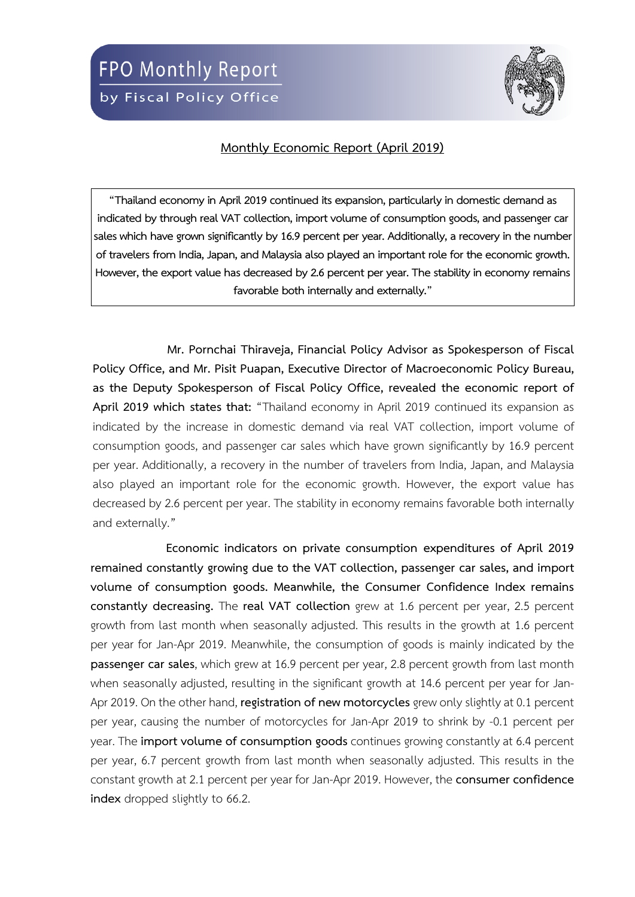

## **Monthly Economic Report (April 2019)**

**"Thailand economy in April 2019 continued its expansion, particularly in domestic demand as indicated by through real VAT collection, import volume of consumption goods,and passenger car**  sales which have grown significantly by 16.9 percent per year. Additionally, a recovery in the number **of travelers from India, Japan, and Malaysia also played an important role for the economic growth. However, the export value has decreased by 2.6 percent per year. The stability in economy remains favorable both internally and externally."**

**Mr. Pornchai Thiraveja, Financial Policy Advisor as Spokesperson of Fiscal Policy Office, and Mr. Pisit Puapan, Executive Director of Macroeconomic Policy Bureau, as the Deputy Spokesperson of Fiscal Policy Office, revealed the economic report of April 2019 which states that:** "Thailand economy in April 2019 continued its expansion as indicated by the increase in domestic demand via real VAT collection, import volume of consumption goods, and passenger car sales which have grown significantly by 16.9 percent per year. Additionally, a recovery in the number of travelers from India, Japan, and Malaysia also played an important role for the economic growth. However, the export value has decreased by 2.6 percent per year. The stability in economy remains favorable both internally and externally."

**Economic indicators on private consumption expenditures of April 2019 remained constantly growing due to the VAT collection, passenger car sales, and import volume of consumption goods. Meanwhile, the Consumer Confidence Index remains constantly decreasing.** The **real VAT collection** grew at 1.6 percent per year, 2.5 percent growth from last month when seasonally adjusted. This results in the growth at 1.6 percent per year for Jan-Apr 2019. Meanwhile, the consumption of goods is mainly indicated by the **passenger car sales**, which grew at 16.9 percent per year, 2.8 percent growth from last month when seasonally adjusted, resulting in the significant growth at 14.6 percent per year for Jan-Apr 2019. On the other hand, **registration of new motorcycles** grew only slightly at 0.1 percent per year, causing the number of motorcycles for Jan-Apr 2019 to shrink by -0.1 percent per year. The **import volume of consumption goods** continues growing constantly at 6.4 percent per year, 6.7 percent growth from last month when seasonally adjusted. This results in the constant growth at 2.1 percent per year for Jan-Apr 2019. However, the **consumer confidence index** dropped slightly to 66.2.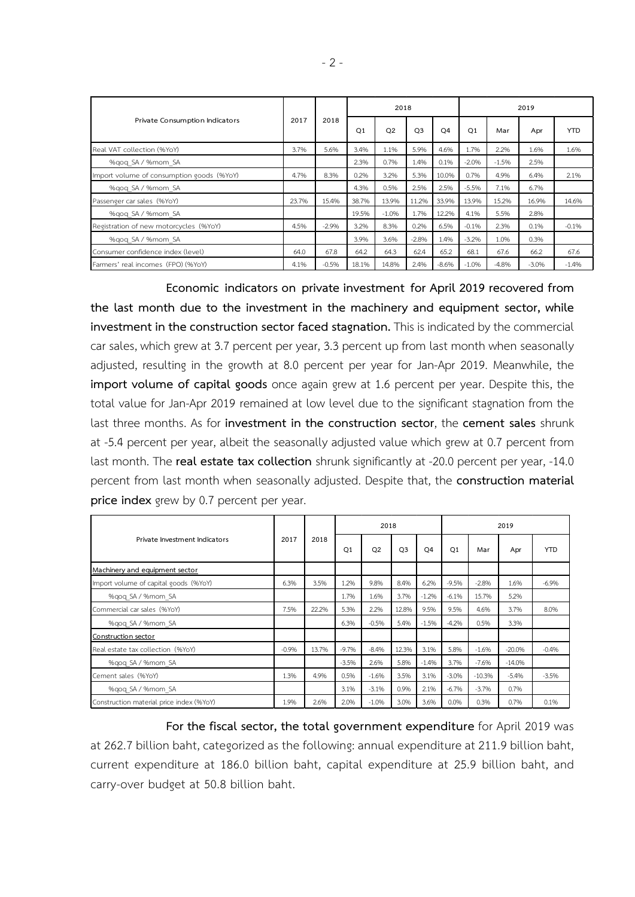|                                           |       |         |                | 2018    |                |                | 2019           |         |         |            |  |
|-------------------------------------------|-------|---------|----------------|---------|----------------|----------------|----------------|---------|---------|------------|--|
| Private Consumption Indicators            | 2017  | 2018    | O <sub>1</sub> | Q2      | O <sub>3</sub> | O <sub>4</sub> | O <sub>1</sub> | Mar     | Apr     | <b>YTD</b> |  |
| Real VAT collection (%YoY)                | 3.7%  | 5.6%    | 3.4%           | 1.1%    | 5.9%           | 4.6%           | 1.7%           | 2.2%    | 1.6%    | 1.6%       |  |
| %gog SA / %mom SA                         |       |         | 2.3%           | 0.7%    | 1.4%           | 0.1%           | $-2.0%$        | $-1.5%$ | 2.5%    |            |  |
| Import volume of consumption goods (%YoY) | 4.7%  | 8.3%    | 0.2%           | 3.2%    | 5.3%           | 10.0%          | 0.7%           | 4.9%    | 6.4%    | 2.1%       |  |
| %gog SA / %mom SA                         |       |         | 4.3%           | 0.5%    | 2.5%           | 2.5%           | $-5.5%$        | 7.1%    | 6.7%    |            |  |
| Passenger car sales (%YoY)                | 23.7% | 15.4%   | 38.7%          | 13.9%   | 11.2%          | 33.9%          | 13.9%          | 15.2%   | 16.9%   | 14.6%      |  |
| %gog SA / %mom SA                         |       |         | 19.5%          | $-1.0%$ | 1.7%           | 12.2%          | 4.1%           | 5.5%    | 2.8%    |            |  |
| Registration of new motorcycles (%YoY)    | 4.5%  | $-2.9%$ | 3.2%           | 8.3%    | 0.2%           | 6.5%           | $-0.1%$        | 2.3%    | 0.1%    | $-0.1%$    |  |
| %gog SA / %mom SA                         |       |         | 3.9%           | 3.6%    | $-2.8%$        | 1.4%           | $-3.2%$        | 1.0%    | 0.3%    |            |  |
| Consumer confidence index (level)         | 64.0  | 67.8    | 64.2           | 64.3    | 62.4           | 65.2           | 68.1           | 67.6    | 66.2    | 67.6       |  |
| Farmers' real incomes (FPO) (%YoY)        | 4.1%  | $-0.5%$ | 18.1%          | 14.8%   | 2.4%           | $-8.6%$        | $-1.0%$        | $-4.8%$ | $-3.0%$ | $-1.4%$    |  |

**Economic indicators on private investment for April 2019 recovered from the last month due to the investment in the machinery and equipment sector, while investment in the construction sector faced stagnation.** This is indicated by the commercial car sales, which grew at 3.7 percent per year, 3.3 percent up from last month when seasonally adjusted, resulting in the growth at 8.0 percent per year for Jan-Apr 2019. Meanwhile, the **import volume of capital goods** once again grew at 1.6 percent per year. Despite this, the total value for Jan-Apr 2019 remained at low level due to the significant stagnation from the last three months. As for **investment in the construction sector**, the **cement sales** shrunk at -5.4 percent per year, albeit the seasonally adjusted value which grew at 0.7 percent from last month. The **real estate tax collection** shrunk significantly at -20.0 percent per year, -14.0 percent from last month when seasonally adjusted. Despite that, the **construction material price index** grew by 0.7 percent per year.

|                                          |         |       |                | 2018           |                |                | 2019           |          |          |            |  |
|------------------------------------------|---------|-------|----------------|----------------|----------------|----------------|----------------|----------|----------|------------|--|
| Private Investment Indicators            | 2017    | 2018  | O <sub>1</sub> | O <sub>2</sub> | O <sub>3</sub> | O <sub>4</sub> | O <sub>1</sub> | Mar      | Apr      | <b>YTD</b> |  |
| Machinery and equipment sector           |         |       |                |                |                |                |                |          |          |            |  |
| Import volume of capital goods (%YoY)    | 6.3%    | 3.5%  | 1.2%           | 9.8%           | 8.4%           | 6.2%           | $-9.5%$        | $-2.8%$  | 1.6%     | $-6.9%$    |  |
| %gog SA / %mom SA                        |         |       | 1.7%           | 1.6%           | 3.7%           | $-1.2%$        | $-6.1%$        | 15.7%    | 5.2%     |            |  |
| Commercial car sales (%YoY)              | 7.5%    | 22.2% | 5.3%           | 2.2%           | 12.8%          | 9.5%           | 9.5%           | 4.6%     | 3.7%     | 8.0%       |  |
| %gog SA / %mom SA                        |         |       | 6.3%           | $-0.5%$        | 5.4%           | $-1.5%$        | $-4.2%$        | 0.5%     | 3.3%     |            |  |
| Construction sector                      |         |       |                |                |                |                |                |          |          |            |  |
| Real estate tax collection (%YoY)        | $-0.9%$ | 13.7% | $-9.7%$        | $-8.4%$        | 12.3%          | 3.1%           | 5.8%           | $-1.6%$  | $-20.0%$ | $-0.4%$    |  |
| %gog SA / %mom SA                        |         |       | $-3.5%$        | 2.6%           | 5.8%           | $-1.4%$        | 3.7%           | $-7.6%$  | $-14.0%$ |            |  |
| Cement sales (%YoY)                      | 1.3%    | 4.9%  | 0.5%           | $-1.6%$        | 3.5%           | 3.1%           | $-3.0%$        | $-10.3%$ | $-5.4%$  | $-3.5%$    |  |
| %gog SA / %mom SA                        |         |       | 3.1%           | $-3.1%$        | 0.9%           | 2.1%           | $-6.7%$        | $-3.7%$  | 0.7%     |            |  |
| Construction material price index (%YoY) | 1.9%    | 2.6%  | 2.0%           | $-1.0%$        | 3.0%           | 3.6%           | 0.0%           | 0.3%     | 0.7%     | 0.1%       |  |

**For the fiscal sector, the total government expenditure** for April 2019 was at 262.7 billion baht, categorized as the following: annual expenditure at 211.9 billion baht, current expenditure at 186.0 billion baht, capital expenditure at 25.9 billion baht, and carry-over budget at 50.8 billion baht.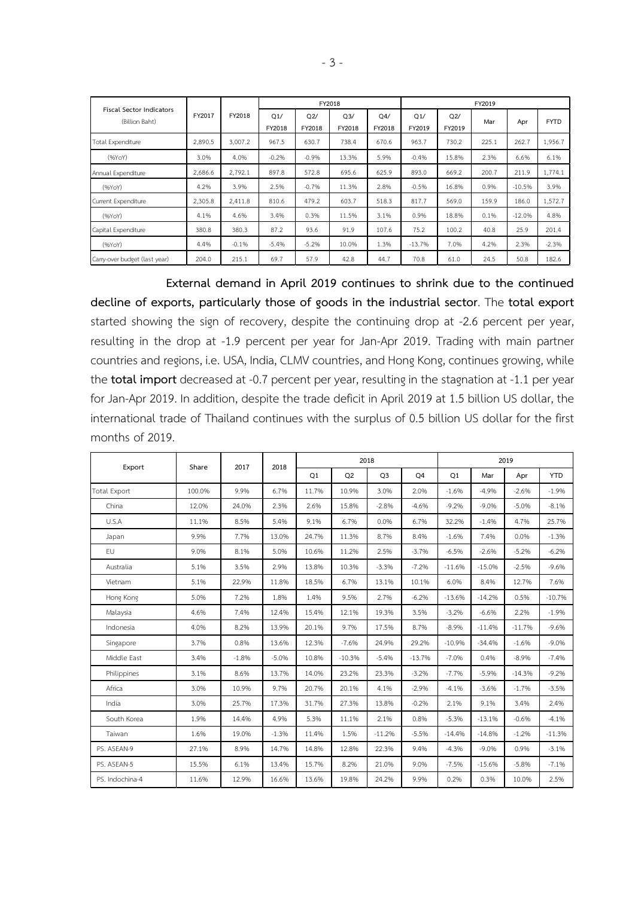|                                                   |         |         |               |               | FY2018        |               | FY2019        |               |       |          |             |  |  |
|---------------------------------------------------|---------|---------|---------------|---------------|---------------|---------------|---------------|---------------|-------|----------|-------------|--|--|
| <b>Fiscal Sector Indicators</b><br>(Billion Baht) | FY2017  | FY2018  | O1/<br>FY2018 | Q2/<br>FY2018 | Q3/<br>FY2018 | Q4/<br>FY2018 | Q1/<br>FY2019 | Q2/<br>FY2019 | Mar   | Apr      | <b>FYTD</b> |  |  |
| Total Expenditure                                 | 2,890.5 | 3,007.2 | 967.5         | 630.7         | 738.4         | 670.6         | 963.7         | 730.2         | 225.1 | 262.7    | 1,956.7     |  |  |
| (96YoY)                                           | 3.0%    | 4.0%    | $-0.2%$       | $-0.9%$       | 13.3%         | 5.9%          | $-0.4%$       | 15.8%         | 2.3%  | 6.6%     | 6.1%        |  |  |
| Annual Expenditure                                | 2,686.6 | 2.792.1 | 897.8         | 572.8         | 695.6         | 625.9         | 893.0         | 669.2         | 200.7 | 211.9    | 1.774.1     |  |  |
| (96YoY)                                           | 4.2%    | 3.9%    | 2.5%          | $-0.7%$       | 11.3%         | 2.8%          | $-0.5%$       | 16.8%         | 0.9%  | $-10.5%$ | 3.9%        |  |  |
| Current Expenditure                               | 2,305.8 | 2,411.8 | 810.6         | 479.2         | 603.7         | 518.3         | 817.7         | 569.0         | 159.9 | 186.0    | 1,572.7     |  |  |
| (96YoY)                                           | 4.1%    | 4.6%    | 3.4%          | 0.3%          | 11.5%         | 3.1%          | 0.9%          | 18.8%         | 0.1%  | $-12.0%$ | 4.8%        |  |  |
| Capital Expenditure                               | 380.8   | 380.3   | 87.2          | 93.6          | 91.9          | 107.6         | 75.2          | 100.2         | 40.8  | 25.9     | 201.4       |  |  |
| (96YoY)                                           | 4.4%    | $-0.1%$ | $-5.4%$       | $-5.2%$       | 10.0%         | 1.3%          | $-13.7%$      | 7.0%          | 4.2%  | 2.3%     | $-2.3%$     |  |  |
| Carry-over budget (last year)                     | 204.0   | 215.1   | 69.7          | 57.9          | 42.8          | 44.7          | 70.8          | 61.0          | 24.5  | 50.8     | 182.6       |  |  |

**External demand in April 2019 continues to shrink due to the continued decline of exports, particularly those of goods in the industrial sector**. The **total export** started showing the sign of recovery, despite the continuing drop at -2.6 percent per year, resulting in the drop at -1.9 percent per year for Jan-Apr 2019. Trading with main partner countries and regions, i.e. USA, India, CLMV countries, and Hong Kong, continues growing, while the **total import** decreased at -0.7 percent per year, resulting in the stagnation at -1.1 per year for Jan-Apr 2019. In addition, despite the trade deficit in April 2019 at 1.5 billion US dollar, the international trade of Thailand continues with the surplus of 0.5 billion US dollar for the first months of 2019.

|                     | Share  | 2017    | 2018    |       |          | 2018           |          | 2019     |          |          |            |  |  |
|---------------------|--------|---------|---------|-------|----------|----------------|----------|----------|----------|----------|------------|--|--|
| Export              |        |         |         | Q1    | Q2       | Q <sub>3</sub> | Q4       | Q1       | Mar      | Apr      | <b>YTD</b> |  |  |
| <b>Total Export</b> | 100.0% | 9.9%    | 6.7%    | 11.7% | 10.9%    | 3.0%           | 2.0%     | $-1.6%$  | $-4.9%$  | $-2.6%$  | $-1.9%$    |  |  |
| China               | 12.0%  | 24.0%   | 2.3%    | 2.6%  | 15.8%    | $-2.8%$        | $-4.6%$  | $-9.2%$  | $-9.0%$  | $-5.0%$  | $-8.1%$    |  |  |
| U.S.A               | 11.1%  | 8.5%    | 5.4%    | 9.1%  | 6.7%     | 0.0%           | 6.7%     | 32.2%    | $-1.4%$  | 4.7%     | 25.7%      |  |  |
| Japan               | 9.9%   | 7.7%    | 13.0%   | 24.7% | 11.3%    | 8.7%           | 8.4%     | $-1.6%$  | 7.4%     | 0.0%     | $-1.3%$    |  |  |
| <b>EU</b>           | 9.0%   | 8.1%    | 5.0%    | 10.6% | 11.2%    | 2.5%           | $-3.7%$  | $-6.5%$  | $-2.6%$  | $-5.2%$  | $-6.2%$    |  |  |
| Australia           | 5.1%   | 3.5%    | 2.9%    | 13.8% | 10.3%    | $-3.3%$        | $-7.2%$  | $-11.6%$ | $-15.0%$ | $-2.5%$  | $-9.6%$    |  |  |
| Vietnam             | 5.1%   | 22.9%   | 11.8%   | 18.5% | 6.7%     | 13.1%          | 10.1%    | 6.0%     | 8.4%     | 12.7%    | 7.6%       |  |  |
| Hong Kong           | 5.0%   | 7.2%    | 1.8%    | 1.4%  | 9.5%     | 2.7%           | $-6.2%$  | $-13.6%$ | $-14.2%$ | 0.5%     | $-10.7%$   |  |  |
| Malaysia            | 4.6%   | 7.4%    | 12.4%   | 15.4% | 12.1%    | 19.3%          | 3.5%     | $-3.2%$  | $-6.6%$  | 2.2%     | $-1.9%$    |  |  |
| Indonesia           | 4.0%   | 8.2%    | 13.9%   | 20.1% | 9.7%     | 17.5%          | 8.7%     | $-8.9%$  | $-11.4%$ | $-11.7%$ | $-9.6%$    |  |  |
| Singapore           | 3.7%   | 0.8%    | 13.6%   | 12.3% | $-7.6%$  | 24.9%          | 29.2%    | $-10.9%$ | $-34.4%$ | $-1.6%$  | $-9.0%$    |  |  |
| Middle East         | 3.4%   | $-1.8%$ | $-5.0%$ | 10.8% | $-10.3%$ | $-5.4%$        | $-13.7%$ | $-7.0%$  | 0.4%     | $-8.9%$  | $-7.4%$    |  |  |
| Philippines         | 3.1%   | 8.6%    | 13.7%   | 14.0% | 23.2%    | 23.3%          | $-3.2%$  | $-7.7%$  | $-5.9%$  | $-14.3%$ | $-9.2%$    |  |  |
| Africa              | 3.0%   | 10.9%   | 9.7%    | 20.7% | 20.1%    | 4.1%           | $-2.9%$  | $-4.1%$  | $-3.6%$  | $-1.7%$  | $-3.5%$    |  |  |
| India               | 3.0%   | 25.7%   | 17.3%   | 31.7% | 27.3%    | 13.8%          | $-0.2%$  | 2.1%     | 9.1%     | 3.4%     | 2.4%       |  |  |
| South Korea         | 1.9%   | 14.4%   | 4.9%    | 5.3%  | 11.1%    | 2.1%           | 0.8%     | $-5.3%$  | $-13.1%$ | $-0.6%$  | $-4.1%$    |  |  |
| Taiwan              | 1.6%   | 19.0%   | $-1.3%$ | 11.4% | 1.5%     | $-11.2%$       | $-5.5%$  | $-14.4%$ | $-14.8%$ | $-1.2%$  | $-11.3%$   |  |  |
| PS. ASEAN-9         | 27.1%  | 8.9%    | 14.7%   | 14.8% | 12.8%    | 22.3%          | 9.4%     | $-4.3%$  | $-9.0%$  | 0.9%     | $-3.1%$    |  |  |
| PS. ASEAN-5         | 15.5%  | 6.1%    | 13.4%   | 15.7% | 8.2%     | 21.0%          | 9.0%     | $-7.5%$  | $-15.6%$ | $-5.8%$  | $-7.1%$    |  |  |
| PS. Indochina-4     | 11.6%  | 12.9%   | 16.6%   | 13.6% | 19.8%    | 24.2%          | 9.9%     | 0.2%     | 0.3%     | 10.0%    | 2.5%       |  |  |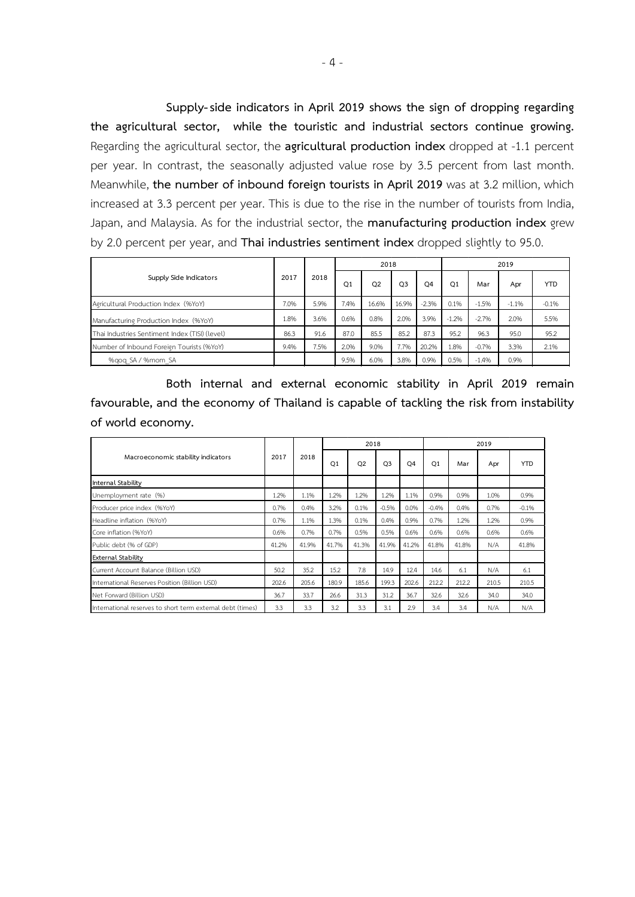**Supply-side indicators in April 2019 shows the sign of dropping regarding the agricultural sector, while the touristic and industrial sectors continue growing.** Regarding the agricultural sector, the **agricultural production index** dropped at -1.1 percent per year. In contrast, the seasonally adjusted value rose by 3.5 percent from last month. Meanwhile, **the number of inbound foreign tourists in April 2019** was at 3.2 million, which increased at 3.3 percent per year. This is due to the rise in the number of tourists from India, Japan, and Malaysia. As for the industrial sector, the **manufacturing production index** grew by 2.0 percent per year, and **Thai industries sentiment index** dropped slightly to 95.0.

|                                                |      |      |      | 2018           |                |                | 2019           |         |         |            |  |
|------------------------------------------------|------|------|------|----------------|----------------|----------------|----------------|---------|---------|------------|--|
| Supply Side Indicators                         | 2017 | 2018 | Q1   | O <sub>2</sub> | O <sub>3</sub> | O <sub>4</sub> | O <sub>1</sub> | Mar     | Apr     | <b>YTD</b> |  |
| Agricultural Production Index (%YoY)           | 7.0% | 5.9% | 7.4% | 16.6%          | 16.9%          | $-2.3%$        | 0.1%           | $-1.5%$ | $-1.1%$ | $-0.1%$    |  |
| Manufacturing Production Index (%YoY)          | 1.8% | 3.6% | 0.6% | 0.8%           | 2.0%           | 3.9%           | $-1.2%$        | $-2.7%$ | 2.0%    | 5.5%       |  |
| Thai Industries Sentiment Index (TISI) (level) | 86.3 | 91.6 | 87.0 | 85.5           | 85.2           | 87.3           | 95.2           | 96.3    | 95.0    | 95.2       |  |
| Number of Inbound Foreign Tourists (%YoY)      | 9.4% | 7.5% | 2.0% | 9.0%           | 7.7%           | 20.2%          | 1.8%           | $-0.7%$ | 3.3%    | 2.1%       |  |
| %gog SA / %mom SA                              |      |      | 9.5% | 6.0%           | 3.8%           | 0.9%           | 0.5%           | $-1.4%$ | 0.9%    |            |  |

**Both internal and external economic stability in April 2019 remain favourable, and the economy of Thailand is capable of tackling the risk from instability of world economy.**

|                                                            |       |       |                | 2018  |                |                | 2019           |       |       |            |  |
|------------------------------------------------------------|-------|-------|----------------|-------|----------------|----------------|----------------|-------|-------|------------|--|
| Macroeconomic stability indicators                         | 2017  | 2018  | O <sub>1</sub> | Q2    | O <sub>3</sub> | O <sub>4</sub> | O <sub>1</sub> | Mar   | Apr   | <b>YTD</b> |  |
| Internal Stability                                         |       |       |                |       |                |                |                |       |       |            |  |
| Unemployment rate (%)                                      | 1.2%  | 1.1%  | 1.2%           | 1.2%  | 1.2%           | 1.1%           | 0.9%           | 0.9%  | 1.0%  | 0.9%       |  |
| Producer price index (%YoY)                                | 0.7%  | 0.4%  | 3.2%           | 0.1%  | $-0.5%$        | 0.0%           | $-0.4%$        | 0.4%  | 0.7%  | $-0.1%$    |  |
| Headline inflation (%YoY)                                  | 0.7%  | 1.1%  | 1.3%           | 0.1%  | 0.4%           | 0.9%           | 0.7%           | 1.2%  | 1.2%  | 0.9%       |  |
| Core inflation (%YoY)                                      | 0.6%  | 0.7%  | 0.7%           | 0.5%  | 0.5%           | 0.6%           | 0.6%           | 0.6%  | 0.6%  | 0.6%       |  |
| Public debt (% of GDP)                                     | 41.2% | 41.9% | 41.7%          | 41.3% | 41.9%          | 41.2%          | 41.8%          | 41.8% | N/A   | 41.8%      |  |
| <b>External Stability</b>                                  |       |       |                |       |                |                |                |       |       |            |  |
| Current Account Balance (Billion USD)                      | 50.2  | 35.2  | 15.2           | 7.8   | 14.9           | 12.4           | 14.6           | 6.1   | N/A   | 6.1        |  |
| International Reserves Position (Billion USD)              | 202.6 | 205.6 | 180.9          | 185.6 | 199.3          | 202.6          | 212.2          | 212.2 | 210.5 | 210.5      |  |
| Net Forward (Billion USD)                                  | 36.7  | 33.7  | 26.6           | 31.3  | 31.2           | 36.7           | 32.6           | 32.6  | 34.0  | 34.0       |  |
| International reserves to short term external debt (times) | 3.3   | 3.3   | 3.2            | 3.3   | 3.1            | 2.9            | 3.4            | 3.4   | N/A   | N/A        |  |